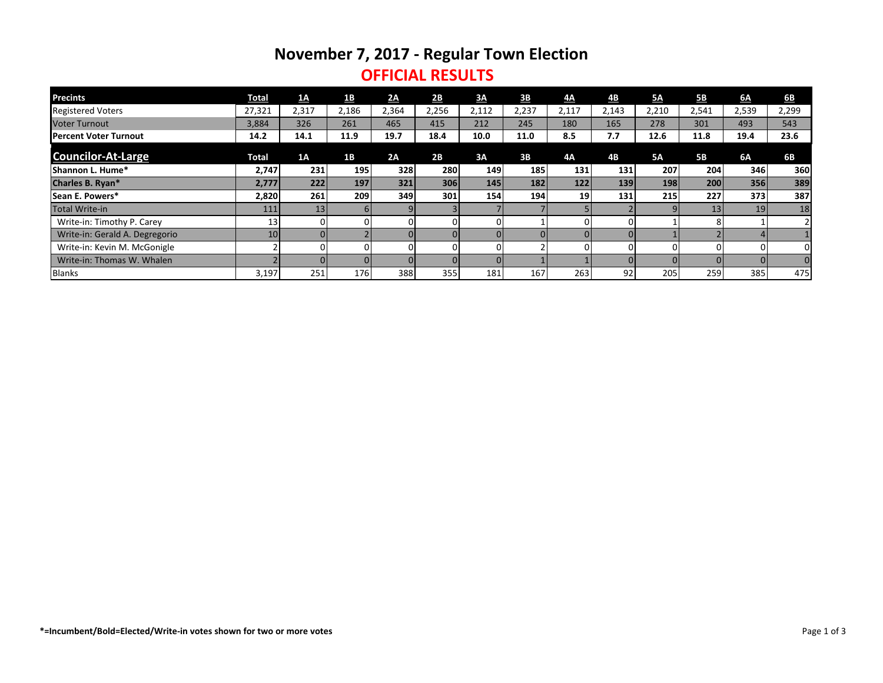# **November 7, 2017 - Regular Town Election**

### **OFFICIAL RESULTS**

| <b>Precints</b>                | <b>Total</b> | <u>1A</u> | <u>1B</u>    | 2A       | 2B    | 3A             | 3 <b>B</b> | <u>4A</u>       | 4B    | <b>5A</b>  | <b>5B</b> | 6A    | 6 <b>B</b>     |
|--------------------------------|--------------|-----------|--------------|----------|-------|----------------|------------|-----------------|-------|------------|-----------|-------|----------------|
| <b>Registered Voters</b>       | 27,321       | 2,317     | 2,186        | 2,364    | 2,256 | 2,112          | 2,237      | 2,117           | 2,143 | 2,210      | 2,541     | 2,539 | 2,299          |
| <b>Voter Turnout</b>           | 3,884        | 326       | 261          | 465      | 415   | 212            | 245        | 180             | 165   | 278        | 301       | 493   | 543            |
| lPercent Voter Turnout         | 14.2         | 14.1      | 11.9         | 19.7     | 18.4  | 10.0           | 11.0       | 8.5             | 7.7   | 12.6       | 11.8      | 19.4  | 23.6           |
| <b>Councilor-At-Large</b>      | <b>Total</b> | 1A        | 1B           | 2A       | 2B    | 3A             | 3B         | 4A              | 4B    | <b>5A</b>  | <b>5B</b> | 6A    | 6B             |
| <b>Shannon L. Hume*</b>        | 2,747        | 231       | <b>195</b>   | 328      | 280   | 149            | 185        | 131             | 131   | 207        | 204       | 346   | 360            |
| Charles B. Ryan*               | 2,777        | 222       | 197          | 321      | 306   | 145            | 182        | 122             | 139   | <b>198</b> | 200       | 356   | 389            |
| Sean E. Powers*                | 2,820        | 261       | 209          | 349      | 301   | 154            | 194        | 19 <sup>1</sup> | 131   | 215        | 227       | 373   | 387            |
| Total Write-in                 | 111          | 13        | $\mathsf{h}$ |          |       |                |            |                 |       |            | 13        | 19    | 18             |
| Write-in: Timothy P. Carey     | 13           |           |              | $\Omega$ |       | 0              |            |                 |       |            | 8         |       |                |
| Write-in: Gerald A. Degregorio | 10           |           |              |          |       |                |            |                 |       |            |           |       |                |
| Write-in: Kevin M. McGonigle   |              |           |              | ΩI       |       | $\overline{0}$ |            |                 |       |            | $\Omega$  | 0     | Οl             |
| Write-in: Thomas W. Whalen     |              |           |              |          |       |                |            |                 |       |            |           | ΩI    | $\overline{0}$ |
| Blanks                         | 3,197        | 251       | 176          | 388      | 355   | 181            | 167        | 263             | 92    | 205        | 259       | 385   | 475            |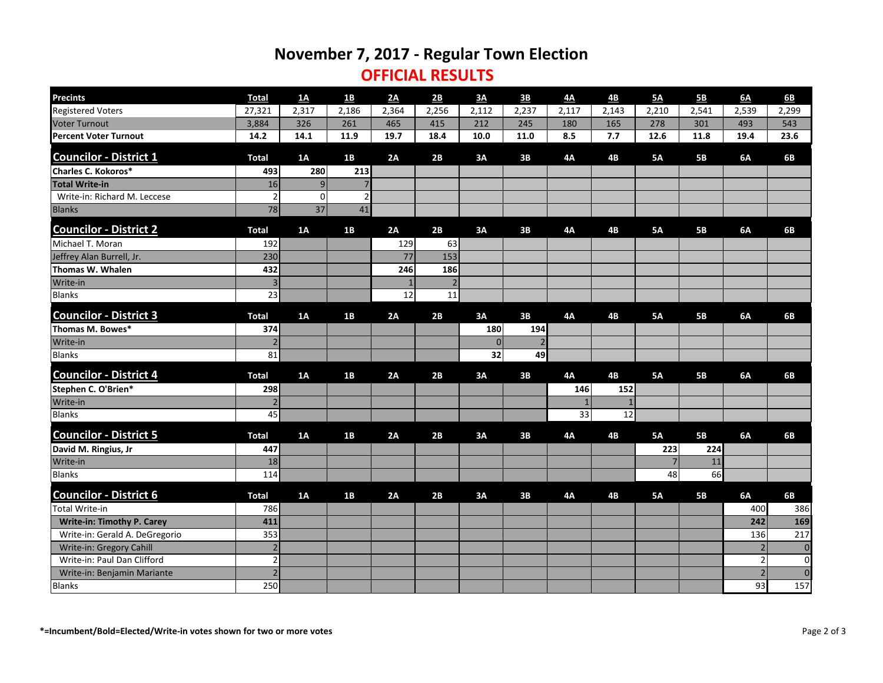## **November 7, 2017 - Regular Town Election**

#### **OFFICIAL RESULTS**

| <b>Precints</b>                   | <b>Total</b>   | <u>1A</u>      | <u>1B</u>      | 2A    | 2B             | 3A    | 3 <b>B</b>     | 4A        | 4B        | <u>5A</u>      | <b>5B</b> | 6A             | 6 <b>B</b>       |
|-----------------------------------|----------------|----------------|----------------|-------|----------------|-------|----------------|-----------|-----------|----------------|-----------|----------------|------------------|
| <b>Registered Voters</b>          | 27,321         | 2,317          | 2,186          | 2,364 | 2,256          | 2,112 | 2,237          | 2,117     | 2,143     | 2,210          | 2,541     | 2,539          | 2,299            |
| <b>Voter Turnout</b>              | 3,884          | 326            | 261            | 465   | 415            | 212   | 245            | 180       | 165       | 278            | 301       | 493            | 543              |
| <b>Percent Voter Turnout</b>      | 14.2           | 14.1           | 11.9           | 19.7  | 18.4           | 10.0  | 11.0           | 8.5       | 7.7       | 12.6           | 11.8      | 19.4           | 23.6             |
| <b>Councilor - District 1</b>     | <b>Total</b>   | 1A             | 1B             | 2A    | 2B             | 3A    | 3B             | <b>4A</b> | 4B        | <b>5A</b>      | <b>5B</b> | 6A             | <b>6B</b>        |
| <b>Charles C. Kokoros*</b>        | 493            | 280            | 213            |       |                |       |                |           |           |                |           |                |                  |
| <b>Total Write-in</b>             | 16             | 9              | $\overline{7}$ |       |                |       |                |           |           |                |           |                |                  |
| Write-in: Richard M. Leccese      | $\overline{2}$ | $\overline{0}$ | $\overline{2}$ |       |                |       |                |           |           |                |           |                |                  |
| <b>Blanks</b>                     | 78             | 37             | 41             |       |                |       |                |           |           |                |           |                |                  |
| <b>Councilor - District 2</b>     | <b>Total</b>   | 1A             | 1B             | 2A    | 2B             | 3A    | 3B             | <b>4A</b> | <b>4B</b> | <b>5A</b>      | <b>5B</b> | 6A             | <b>6B</b>        |
| Michael T. Moran                  | 192            |                |                | 129   | 63             |       |                |           |           |                |           |                |                  |
| Jeffrey Alan Burrell, Jr.         | 230            |                |                | 77    | 153            |       |                |           |           |                |           |                |                  |
| Thomas W. Whalen                  | 432            |                |                | 246   | 186            |       |                |           |           |                |           |                |                  |
| Write-in                          | 3 <sup>1</sup> |                |                |       | $\overline{2}$ |       |                |           |           |                |           |                |                  |
| <b>Blanks</b>                     | 23             |                |                | 12    | 11             |       |                |           |           |                |           |                |                  |
| <b>Councilor - District 3</b>     | <b>Total</b>   | 1A             | 1B             | 2A    | 2B             | 3A    | 3B             | <b>4A</b> | <b>4B</b> | <b>5A</b>      | <b>5B</b> | 6A             | <b>6B</b>        |
| Thomas M. Bowes*                  | 374            |                |                |       |                | 180   | 194            |           |           |                |           |                |                  |
| Write-in                          | 2              |                |                |       |                | 0     | $\overline{2}$ |           |           |                |           |                |                  |
| <b>Blanks</b>                     | 81             |                |                |       |                | 32    | 49             |           |           |                |           |                |                  |
| <b>Councilor - District 4</b>     | <b>Total</b>   | 1A             | 1B             | 2A    | 2B             | 3A    | 3B             | 4A        | 4B        | <b>5A</b>      | <b>5B</b> | 6A             | <b>6B</b>        |
| Stephen C. O'Brien*               | 298            |                |                |       |                |       |                | 146       | 152       |                |           |                |                  |
| Write-in                          |                |                |                |       |                |       |                |           |           |                |           |                |                  |
| <b>Blanks</b>                     | 45             |                |                |       |                |       |                | 33        | 12        |                |           |                |                  |
| <b>Councilor - District 5</b>     | <b>Total</b>   | 1A             | 1B             | 2A    | 2B             | 3A    | 3B             | <b>4A</b> | <b>4B</b> | <b>5A</b>      | <b>5B</b> | 6A             | <b>6B</b>        |
| David M. Ringius, Jr              | 447            |                |                |       |                |       |                |           |           | 223            | 224       |                |                  |
| Write-in                          | 18             |                |                |       |                |       |                |           |           | $\overline{7}$ | 11        |                |                  |
| <b>Blanks</b>                     | 114            |                |                |       |                |       |                |           |           | 48             | 66        |                |                  |
| <b>Councilor - District 6</b>     | <b>Total</b>   | 1A             | 1B             | 2A    | 2B             | 3A    | 3B             | <b>4A</b> | <b>4B</b> | <b>5A</b>      | <b>5B</b> | 6A             | 6 <b>B</b>       |
| Total Write-in                    | 786            |                |                |       |                |       |                |           |           |                |           | 400            | 386              |
| <b>Write-in: Timothy P. Carey</b> | 411            |                |                |       |                |       |                |           |           |                |           | 242            | 169              |
| Write-in: Gerald A. DeGregorio    | 353            |                |                |       |                |       |                |           |           |                |           | 136            | 217              |
| Write-in: Gregory Cahill          | $\overline{2}$ |                |                |       |                |       |                |           |           |                |           | $\overline{2}$ | $\boldsymbol{0}$ |
| Write-in: Paul Dan Clifford       | $\overline{2}$ |                |                |       |                |       |                |           |           |                |           | $\mathbf 2$    | $\mathbf 0$      |
| Write-in: Benjamin Mariante       | $\overline{2}$ |                |                |       |                |       |                |           |           |                |           | $\overline{2}$ | $\mathbf 0$      |
| <b>Blanks</b>                     | 250            |                |                |       |                |       |                |           |           |                |           | 93             | 157              |